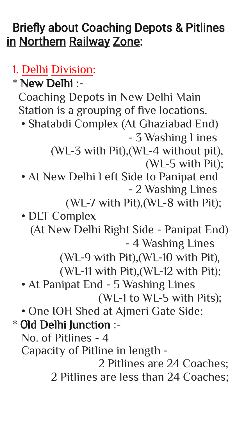## **Briefly about Coaching Depots & Pitlines** in Northern Railway Zone:

## 1. Delhi Division:

- Shatabdi Complex (At Ghaziabad End) - 3 Washing Lines
	- (WL-3 with Pit),(WL-4 without pit),
		- (WL-5 with Pit);
- At New Delhi Left Side to Panipat end - 2 Washing Lines
	- (WL-7 with Pit),(WL-8 with Pit);
- DLT Complex (At New Delhi Right Side - Panipat End) - 4 Washing Lines
	- (WL-9 with Pit),(WL-10 with Pit),
	- (WL-11 with Pit),(WL-12 with Pit);
- At Panipat End 5 Washing Lines

\* New Delhi :-

Coaching Depots in New Delhi Main Station is a grouping of five locations.

## (WL-1 to WL-5 with Pits);

- One IOH Shed at Ajmeri Gate Side;
- \* Old Delhi Junction :-
	- No. of Pitlines 4
	- Capacity of Pitline in length -

 2 Pitlines are 24 Coaches; 2 Pitlines are less than 24 Coaches;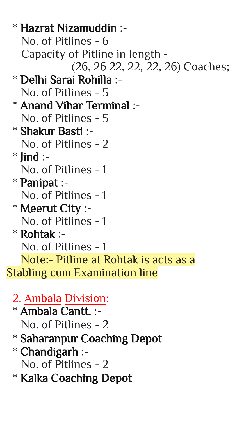\* Hazrat Nizamuddin :- No. of Pitlines - 6 Capacity of Pitline in length - (26, 26 22, 22, 22, 26) Coaches; \* Delhi Sarai Rohilla :- No. of Pitlines - 5 \* Anand Vihar Terminal :- No. of Pitlines - 5 \* Shakur Basti :- No. of Pitlines - 2  $*$  lind :- No. of Pitlines - 1 \* Panipat :- No. of Pitlines - 1 \* Meerut City :- No. of Pitlines - 1 \* Rohtak :- No. of Pitlines - 1 Note:- Pitline at Rohtak is acts as a Stabling cum Examination line

- 2. Ambala Division:
- \* Ambala Cantt. :-
	- No. of Pitlines 2
- \* Saharanpur Coaching Depot
- \* Chandigarh :-
	- No. of Pitlines 2
- \* Kalka Coaching Depot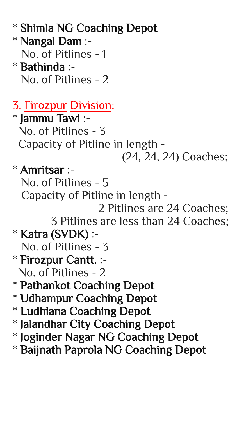- \* Shimla NG Coaching Depot
- \* Nangal Dam :- No. of Pitlines - 1 \* Bathinda :-
- No. of Pitlines 2
- 3. Firozpur Division:
- \* Jammu Tawi :- No. of Pitlines - 3 Capacity of Pitline in length -
	- (24, 24, 24) Coaches;
- \* Amritsar :-
	- No. of Pitlines 5
		- Capacity of Pitline in length
			- 2 Pitlines are 24 Coaches; 3 Pitlines are less than 24 Coaches;
- \* Katra (SVDK) :-
	- No. of Pitlines 3
- \* Firozpur Cantt. :-
- No. of Pitlines 2
- \* Pathankot Coaching Depot
- \* Udhampur Coaching Depot \* Ludhiana Coaching Depot \* Jalandhar City Coaching Depot \* Joginder Nagar NG Coaching Depot \* Baijnath Paprola NG Coaching Depot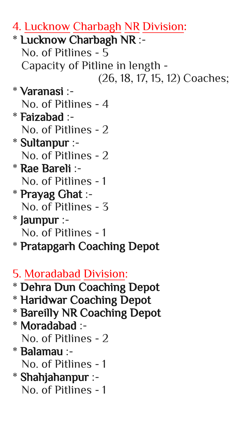- 4. Lucknow Charbagh NR Division:
- \* Lucknow Charbagh NR :- No. of Pitlines - 5 Capacity of Pitline in length -
	- (26, 18, 17, 15, 12) Coaches;
- \* Varanasi :-
	- No. of Pitlines 4
- \* Faizabad :- No. of Pitlines - 2
- \* Sultanpur :- No. of Pitlines - 2
- \* Rae Bareli :- No. of Pitlines - 1
- \* Prayag Ghat :- No. of Pitlines - 3
- \* Jaunpur :- No. of Pitlines - 1
- \* Pratapgarh Coaching Depot
- 5. Moradabad Division: \* Dehra Dun Coaching Depot \* Haridwar Coaching Depot \* Bareilly NR Coaching Depot \* Moradabad :- No. of Pitlines - 2 \* Balamau :- No. of Pitlines - 1 \* Shahjahanpur :- No. of Pitlines - 1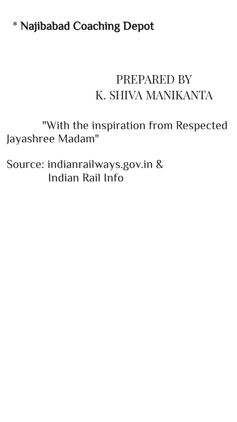\* Najibabad Coaching Depot

## PREPARED BY K. SHIVA MANIKANTA

 "With the inspiration from Respected Jayashree Madam"

Source: indianrailways.gov.in & Indian Rail Info